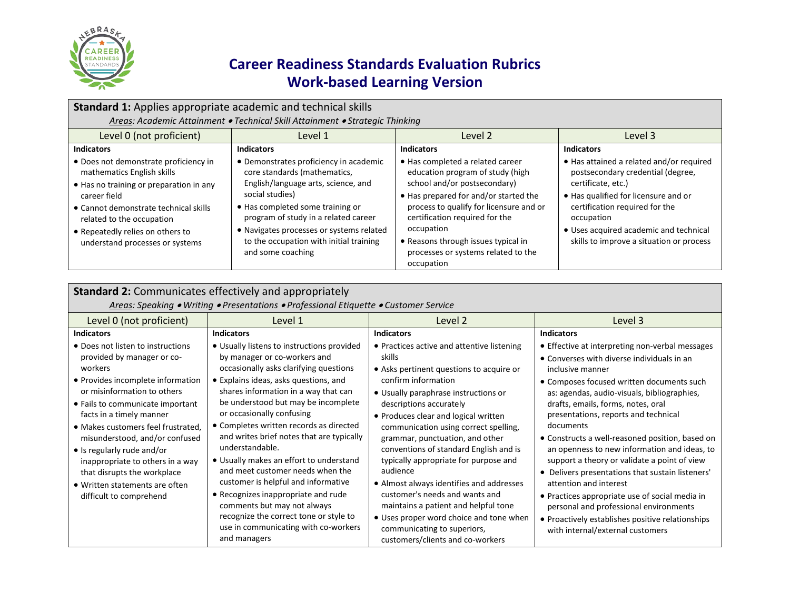

| Standard 1: Applies appropriate academic and technical skills                                                                                                                                                                                                               |                                                                                                                                                                                                                                                                                                                          |                                                                                                                                                                                                                                                                                                                                      |                                                                                                                                                                                                                                                                                   |  |
|-----------------------------------------------------------------------------------------------------------------------------------------------------------------------------------------------------------------------------------------------------------------------------|--------------------------------------------------------------------------------------------------------------------------------------------------------------------------------------------------------------------------------------------------------------------------------------------------------------------------|--------------------------------------------------------------------------------------------------------------------------------------------------------------------------------------------------------------------------------------------------------------------------------------------------------------------------------------|-----------------------------------------------------------------------------------------------------------------------------------------------------------------------------------------------------------------------------------------------------------------------------------|--|
|                                                                                                                                                                                                                                                                             | Areas: Academic Attainment . Technical Skill Attainment . Strategic Thinking                                                                                                                                                                                                                                             |                                                                                                                                                                                                                                                                                                                                      |                                                                                                                                                                                                                                                                                   |  |
| Level 0 (not proficient)                                                                                                                                                                                                                                                    | Level 1                                                                                                                                                                                                                                                                                                                  | Level 2                                                                                                                                                                                                                                                                                                                              | Level 3                                                                                                                                                                                                                                                                           |  |
| <b>Indicators</b>                                                                                                                                                                                                                                                           | <b>Indicators</b>                                                                                                                                                                                                                                                                                                        | <b>Indicators</b>                                                                                                                                                                                                                                                                                                                    | <b>Indicators</b>                                                                                                                                                                                                                                                                 |  |
| • Does not demonstrate proficiency in<br>mathematics English skills<br>• Has no training or preparation in any<br>career field<br>• Cannot demonstrate technical skills<br>related to the occupation<br>• Repeatedly relies on others to<br>understand processes or systems | • Demonstrates proficiency in academic<br>core standards (mathematics,<br>English/language arts, science, and<br>social studies)<br>• Has completed some training or<br>program of study in a related career<br>• Navigates processes or systems related<br>to the occupation with initial training<br>and some coaching | • Has completed a related career<br>education program of study (high<br>school and/or postsecondary)<br>• Has prepared for and/or started the<br>process to qualify for licensure and or<br>certification required for the<br>occupation<br>• Reasons through issues typical in<br>processes or systems related to the<br>occupation | • Has attained a related and/or required<br>postsecondary credential (degree,<br>certificate, etc.)<br>• Has qualified for licensure and or<br>certification required for the<br>occupation<br>• Uses acquired academic and technical<br>skills to improve a situation or process |  |

| <b>Standard 2: Communicates effectively and appropriately</b>                                                                                                                                                                                                                                                                                                                                                                                        |                                                                                                                                                                                                                                                                                                                                                                                                                                                                                                                                                                                                                                                                                    |                                                                                                                                                                                                                                                                                                                                                                                                                                                                                                                                                                                                                                                   |                                                                                                                                                                                                                                                                                                                                                                                                                                                                                                                                                                                                                                                                                                                               |  |
|------------------------------------------------------------------------------------------------------------------------------------------------------------------------------------------------------------------------------------------------------------------------------------------------------------------------------------------------------------------------------------------------------------------------------------------------------|------------------------------------------------------------------------------------------------------------------------------------------------------------------------------------------------------------------------------------------------------------------------------------------------------------------------------------------------------------------------------------------------------------------------------------------------------------------------------------------------------------------------------------------------------------------------------------------------------------------------------------------------------------------------------------|---------------------------------------------------------------------------------------------------------------------------------------------------------------------------------------------------------------------------------------------------------------------------------------------------------------------------------------------------------------------------------------------------------------------------------------------------------------------------------------------------------------------------------------------------------------------------------------------------------------------------------------------------|-------------------------------------------------------------------------------------------------------------------------------------------------------------------------------------------------------------------------------------------------------------------------------------------------------------------------------------------------------------------------------------------------------------------------------------------------------------------------------------------------------------------------------------------------------------------------------------------------------------------------------------------------------------------------------------------------------------------------------|--|
| Areas: Speaking . Writing . Presentations . Professional Etiquette . Customer Service                                                                                                                                                                                                                                                                                                                                                                |                                                                                                                                                                                                                                                                                                                                                                                                                                                                                                                                                                                                                                                                                    |                                                                                                                                                                                                                                                                                                                                                                                                                                                                                                                                                                                                                                                   |                                                                                                                                                                                                                                                                                                                                                                                                                                                                                                                                                                                                                                                                                                                               |  |
| Level 0 (not proficient)                                                                                                                                                                                                                                                                                                                                                                                                                             | Level 1                                                                                                                                                                                                                                                                                                                                                                                                                                                                                                                                                                                                                                                                            | Level 2                                                                                                                                                                                                                                                                                                                                                                                                                                                                                                                                                                                                                                           | Level 3                                                                                                                                                                                                                                                                                                                                                                                                                                                                                                                                                                                                                                                                                                                       |  |
| <b>Indicators</b>                                                                                                                                                                                                                                                                                                                                                                                                                                    | <b>Indicators</b>                                                                                                                                                                                                                                                                                                                                                                                                                                                                                                                                                                                                                                                                  | <b>Indicators</b>                                                                                                                                                                                                                                                                                                                                                                                                                                                                                                                                                                                                                                 | <b>Indicators</b>                                                                                                                                                                                                                                                                                                                                                                                                                                                                                                                                                                                                                                                                                                             |  |
| • Does not listen to instructions<br>provided by manager or co-<br>workers<br>• Provides incomplete information<br>or misinformation to others<br>• Fails to communicate important<br>facts in a timely manner<br>• Makes customers feel frustrated,<br>misunderstood, and/or confused<br>• Is regularly rude and/or<br>inappropriate to others in a way<br>that disrupts the workplace<br>• Written statements are often<br>difficult to comprehend | • Usually listens to instructions provided<br>by manager or co-workers and<br>occasionally asks clarifying questions<br>• Explains ideas, asks questions, and<br>shares information in a way that can<br>be understood but may be incomplete<br>or occasionally confusing<br>• Completes written records as directed<br>and writes brief notes that are typically<br>understandable.<br>• Usually makes an effort to understand<br>and meet customer needs when the<br>customer is helpful and informative<br>• Recognizes inappropriate and rude<br>comments but may not always<br>recognize the correct tone or style to<br>use in communicating with co-workers<br>and managers | • Practices active and attentive listening<br>skills<br>• Asks pertinent questions to acquire or<br>confirm information<br>• Usually paraphrase instructions or<br>descriptions accurately<br>• Produces clear and logical written<br>communication using correct spelling,<br>grammar, punctuation, and other<br>conventions of standard English and is<br>typically appropriate for purpose and<br>audience<br>• Almost always identifies and addresses<br>customer's needs and wants and<br>maintains a patient and helpful tone<br>• Uses proper word choice and tone when<br>communicating to superiors,<br>customers/clients and co-workers | • Effective at interpreting non-verbal messages<br>• Converses with diverse individuals in an<br>inclusive manner<br>• Composes focused written documents such<br>as: agendas, audio-visuals, bibliographies,<br>drafts, emails, forms, notes, oral<br>presentations, reports and technical<br>documents<br>• Constructs a well-reasoned position, based on<br>an openness to new information and ideas, to<br>support a theory or validate a point of view<br>• Delivers presentations that sustain listeners'<br>attention and interest<br>• Practices appropriate use of social media in<br>personal and professional environments<br>• Proactively establishes positive relationships<br>with internal/external customers |  |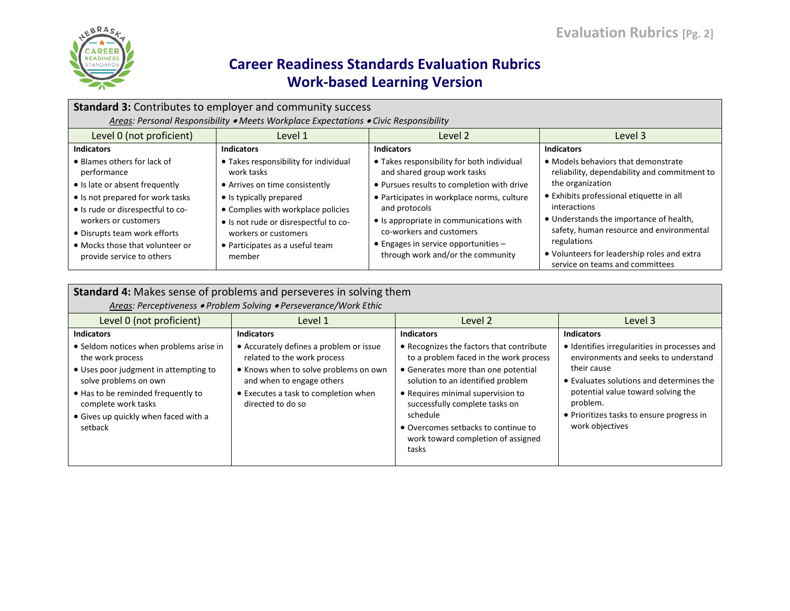

| <b>Standard 3: Contributes to employer and community success</b>                                                                                                                                                                                                              |                                                                                                                                                                                                                                                                      |                                                                                                                                                                                                                                                                                                                                                      |                                                                                                                                                                                                                                                                                                                                                             |  |
|-------------------------------------------------------------------------------------------------------------------------------------------------------------------------------------------------------------------------------------------------------------------------------|----------------------------------------------------------------------------------------------------------------------------------------------------------------------------------------------------------------------------------------------------------------------|------------------------------------------------------------------------------------------------------------------------------------------------------------------------------------------------------------------------------------------------------------------------------------------------------------------------------------------------------|-------------------------------------------------------------------------------------------------------------------------------------------------------------------------------------------------------------------------------------------------------------------------------------------------------------------------------------------------------------|--|
|                                                                                                                                                                                                                                                                               | Areas: Personal Responsibility • Meets Workplace Expectations • Civic Responsibility                                                                                                                                                                                 |                                                                                                                                                                                                                                                                                                                                                      |                                                                                                                                                                                                                                                                                                                                                             |  |
| Level 0 (not proficient)                                                                                                                                                                                                                                                      | Level 1                                                                                                                                                                                                                                                              | Level 2                                                                                                                                                                                                                                                                                                                                              | Level 3                                                                                                                                                                                                                                                                                                                                                     |  |
| <b>Indicators</b>                                                                                                                                                                                                                                                             | <b>Indicators</b>                                                                                                                                                                                                                                                    | <b>Indicators</b>                                                                                                                                                                                                                                                                                                                                    | <b>Indicators</b>                                                                                                                                                                                                                                                                                                                                           |  |
| • Blames others for lack of<br>performance<br>• Is late or absent frequently<br>• Is not prepared for work tasks<br>• Is rude or disrespectful to co-<br>workers or customers<br>• Disrupts team work efforts<br>• Mocks those that volunteer or<br>provide service to others | • Takes responsibility for individual<br>work tasks<br>• Arrives on time consistently<br>• Is typically prepared<br>• Complies with workplace policies<br>• Is not rude or disrespectful to co-<br>workers or customers<br>• Participates as a useful team<br>member | • Takes responsibility for both individual<br>and shared group work tasks<br>• Pursues results to completion with drive<br>• Participates in workplace norms, culture<br>and protocols<br>• Is appropriate in communications with<br>co-workers and customers<br>$\bullet$ Engages in service opportunities $-$<br>through work and/or the community | • Models behaviors that demonstrate<br>reliability, dependability and commitment to<br>the organization<br>• Exhibits professional etiquette in all<br>interactions<br>• Understands the importance of health,<br>safety, human resource and environmental<br>regulations<br>• Volunteers for leadership roles and extra<br>service on teams and committees |  |

| Standard 4: Makes sense of problems and perseveres in solving them<br>Areas: Perceptiveness . Problem Solving . Perseverance/Work Ethic                                                                                                                            |                                                                                                                                                                                                                                |                                                                                                                                                                                                                                                                                                                                                     |                                                                                                                                                                                                                                                                                        |  |
|--------------------------------------------------------------------------------------------------------------------------------------------------------------------------------------------------------------------------------------------------------------------|--------------------------------------------------------------------------------------------------------------------------------------------------------------------------------------------------------------------------------|-----------------------------------------------------------------------------------------------------------------------------------------------------------------------------------------------------------------------------------------------------------------------------------------------------------------------------------------------------|----------------------------------------------------------------------------------------------------------------------------------------------------------------------------------------------------------------------------------------------------------------------------------------|--|
| Level 0 (not proficient)                                                                                                                                                                                                                                           | Level 1                                                                                                                                                                                                                        | Level 2                                                                                                                                                                                                                                                                                                                                             | Level 3                                                                                                                                                                                                                                                                                |  |
| <b>Indicators</b><br>• Seldom notices when problems arise in<br>the work process<br>• Uses poor judgment in attempting to<br>solve problems on own<br>• Has to be reminded frequently to<br>complete work tasks<br>• Gives up quickly when faced with a<br>setback | <b>Indicators</b><br>• Accurately defines a problem or issue<br>related to the work process<br>• Knows when to solve problems on own<br>and when to engage others<br>• Executes a task to completion when<br>directed to do so | <b>Indicators</b><br>• Recognizes the factors that contribute<br>to a problem faced in the work process<br>• Generates more than one potential<br>solution to an identified problem<br>• Requires minimal supervision to<br>successfully complete tasks on<br>schedule<br>• Overcomes setbacks to continue to<br>work toward completion of assigned | <b>Indicators</b><br>• Identifies irregularities in processes and<br>environments and seeks to understand<br>their cause<br>• Evaluates solutions and determines the<br>potential value toward solving the<br>problem.<br>• Prioritizes tasks to ensure progress in<br>work objectives |  |
|                                                                                                                                                                                                                                                                    |                                                                                                                                                                                                                                | tasks                                                                                                                                                                                                                                                                                                                                               |                                                                                                                                                                                                                                                                                        |  |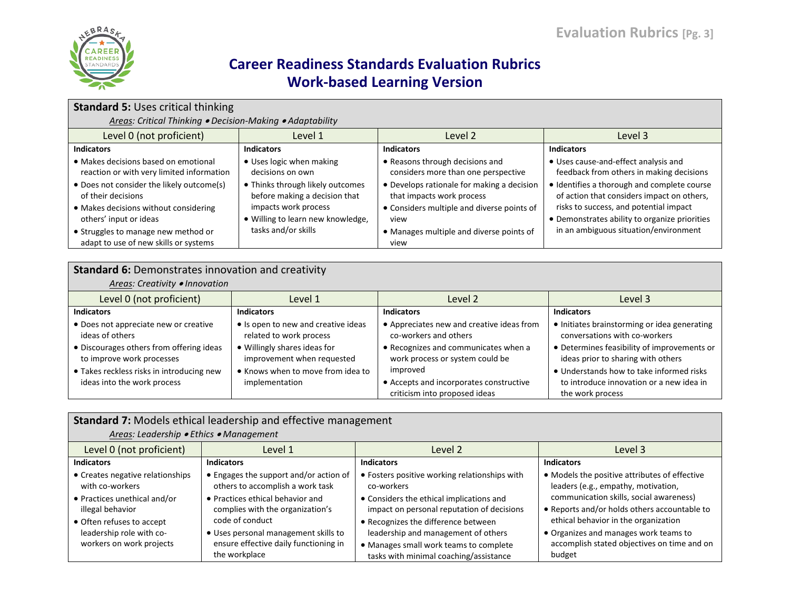

| <b>Standard 5: Uses critical thinking</b><br>Areas: Critical Thinking . Decision-Making . Adaptability                                                                                                                                                                                                  |                                                                                                                                                                                                     |                                                                                                                                                                                                                                                             |                                                                                                                                                                                                                                                                                                                   |  |  |
|---------------------------------------------------------------------------------------------------------------------------------------------------------------------------------------------------------------------------------------------------------------------------------------------------------|-----------------------------------------------------------------------------------------------------------------------------------------------------------------------------------------------------|-------------------------------------------------------------------------------------------------------------------------------------------------------------------------------------------------------------------------------------------------------------|-------------------------------------------------------------------------------------------------------------------------------------------------------------------------------------------------------------------------------------------------------------------------------------------------------------------|--|--|
| Level 0 (not proficient)                                                                                                                                                                                                                                                                                | Level 2<br>Level 3<br>Level 1                                                                                                                                                                       |                                                                                                                                                                                                                                                             |                                                                                                                                                                                                                                                                                                                   |  |  |
| <b>Indicators</b>                                                                                                                                                                                                                                                                                       | <b>Indicators</b>                                                                                                                                                                                   | <b>Indicators</b>                                                                                                                                                                                                                                           | <b>Indicators</b>                                                                                                                                                                                                                                                                                                 |  |  |
| • Makes decisions based on emotional<br>reaction or with very limited information<br>• Does not consider the likely outcome(s)<br>of their decisions<br>• Makes decisions without considering<br>others' input or ideas<br>• Struggles to manage new method or<br>adapt to use of new skills or systems | • Uses logic when making<br>decisions on own<br>• Thinks through likely outcomes<br>before making a decision that<br>impacts work process<br>Willing to learn new knowledge,<br>tasks and/or skills | • Reasons through decisions and<br>considers more than one perspective<br>• Develops rationale for making a decision<br>that impacts work process<br>• Considers multiple and diverse points of<br>view<br>• Manages multiple and diverse points of<br>view | • Uses cause-and-effect analysis and<br>feedback from others in making decisions<br>· Identifies a thorough and complete course<br>of action that considers impact on others,<br>risks to success, and potential impact<br>• Demonstrates ability to organize priorities<br>in an ambiguous situation/environment |  |  |

| <b>Standard 6: Demonstrates innovation and creativity</b><br>Areas: Creativity . Innovation          |                                                                                                |                                                                                                            |                                                                                                                              |  |
|------------------------------------------------------------------------------------------------------|------------------------------------------------------------------------------------------------|------------------------------------------------------------------------------------------------------------|------------------------------------------------------------------------------------------------------------------------------|--|
| Level 0 (not proficient)                                                                             | Level 1                                                                                        | Level 2                                                                                                    | Level 3                                                                                                                      |  |
| <b>Indicators</b>                                                                                    | <b>Indicators</b>                                                                              | <b>Indicators</b>                                                                                          | <b>Indicators</b>                                                                                                            |  |
| • Does not appreciate new or creative<br>ideas of others<br>• Discourages others from offering ideas | • Is open to new and creative ideas<br>related to work process<br>• Willingly shares ideas for | • Appreciates new and creative ideas from<br>co-workers and others<br>• Recognizes and communicates when a | • Initiates brainstorming or idea generating<br>conversations with co-workers<br>• Determines feasibility of improvements or |  |
| to improve work processes                                                                            | improvement when requested                                                                     | work process or system could be                                                                            | ideas prior to sharing with others                                                                                           |  |
| • Takes reckless risks in introducing new<br>ideas into the work process                             | • Knows when to move from idea to<br>implementation                                            | improved<br>• Accepts and incorporates constructive<br>criticism into proposed ideas                       | • Understands how to take informed risks<br>to introduce innovation or a new idea in<br>the work process                     |  |

|                                                                                     | Standard 7: Models ethical leadership and effective management                                                 |                                                                                                                         |                                                                                                                                 |  |  |
|-------------------------------------------------------------------------------------|----------------------------------------------------------------------------------------------------------------|-------------------------------------------------------------------------------------------------------------------------|---------------------------------------------------------------------------------------------------------------------------------|--|--|
| Areas: Leadership • Ethics • Management                                             |                                                                                                                |                                                                                                                         |                                                                                                                                 |  |  |
| Level 0 (not proficient)                                                            | Level 1                                                                                                        | Level 2                                                                                                                 | Level 3                                                                                                                         |  |  |
| <b>Indicators</b>                                                                   | <b>Indicators</b>                                                                                              | <b>Indicators</b>                                                                                                       | <b>Indicators</b>                                                                                                               |  |  |
| • Creates negative relationships<br>with co-workers<br>• Practices unethical and/or | • Engages the support and/or action of<br>others to accomplish a work task<br>• Practices ethical behavior and | • Fosters positive working relationships with<br>co-workers<br>• Considers the ethical implications and                 | • Models the positive attributes of effective<br>leaders (e.g., empathy, motivation,<br>communication skills, social awareness) |  |  |
| illegal behavior<br>• Often refuses to accept                                       | complies with the organization's<br>code of conduct                                                            | impact on personal reputation of decisions<br>• Recognizes the difference between                                       | • Reports and/or holds others accountable to<br>ethical behavior in the organization                                            |  |  |
| leadership role with co-<br>workers on work projects                                | • Uses personal management skills to<br>ensure effective daily functioning in<br>the workplace                 | leadership and management of others<br>• Manages small work teams to complete<br>tasks with minimal coaching/assistance | • Organizes and manages work teams to<br>accomplish stated objectives on time and on<br>budget                                  |  |  |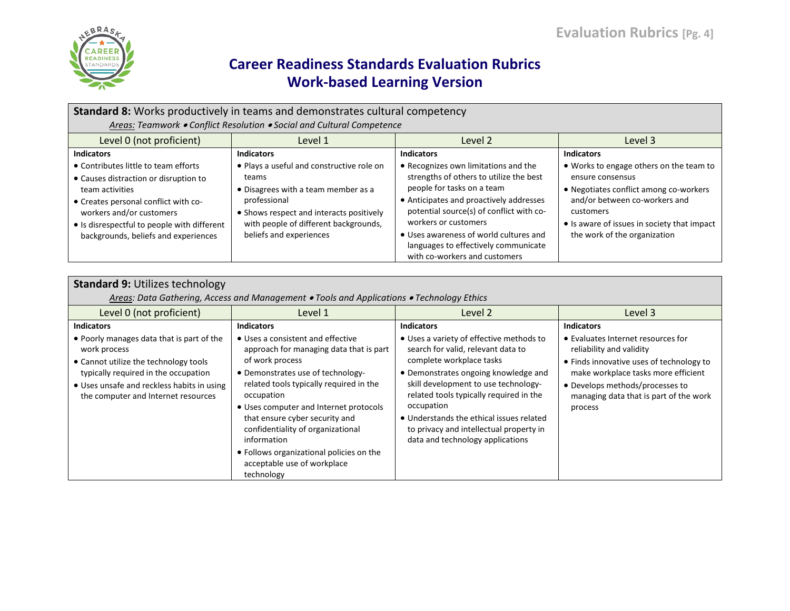

| <b>Standard 8:</b> Works productively in teams and demonstrates cultural competency                                                                                                                                                                         |                                                                                                                                                                                                                           |                                                                                                                                                                                                                                                                                                                                                 |                                                                                                                                                                                                                                    |  |  |
|-------------------------------------------------------------------------------------------------------------------------------------------------------------------------------------------------------------------------------------------------------------|---------------------------------------------------------------------------------------------------------------------------------------------------------------------------------------------------------------------------|-------------------------------------------------------------------------------------------------------------------------------------------------------------------------------------------------------------------------------------------------------------------------------------------------------------------------------------------------|------------------------------------------------------------------------------------------------------------------------------------------------------------------------------------------------------------------------------------|--|--|
|                                                                                                                                                                                                                                                             | Areas: Teamwork . Conflict Resolution . Social and Cultural Competence                                                                                                                                                    |                                                                                                                                                                                                                                                                                                                                                 |                                                                                                                                                                                                                                    |  |  |
| Level 0 (not proficient)                                                                                                                                                                                                                                    | Level 2<br>Level 1<br>Level 3                                                                                                                                                                                             |                                                                                                                                                                                                                                                                                                                                                 |                                                                                                                                                                                                                                    |  |  |
| <b>Indicators</b>                                                                                                                                                                                                                                           | <b>Indicators</b>                                                                                                                                                                                                         | <b>Indicators</b>                                                                                                                                                                                                                                                                                                                               | <b>Indicators</b>                                                                                                                                                                                                                  |  |  |
| • Contributes little to team efforts<br>• Causes distraction or disruption to<br>team activities<br>• Creates personal conflict with co-<br>workers and/or customers<br>• Is disrespectful to people with different<br>backgrounds, beliefs and experiences | • Plays a useful and constructive role on<br>teams<br>• Disagrees with a team member as a<br>professional<br>• Shows respect and interacts positively<br>with people of different backgrounds,<br>beliefs and experiences | • Recognizes own limitations and the<br>strengths of others to utilize the best<br>people for tasks on a team<br>• Anticipates and proactively addresses<br>potential source(s) of conflict with co-<br>workers or customers<br>• Uses awareness of world cultures and<br>languages to effectively communicate<br>with co-workers and customers | • Works to engage others on the team to<br>ensure consensus<br>• Negotiates conflict among co-workers<br>and/or between co-workers and<br>customers<br>• Is aware of issues in society that impact<br>the work of the organization |  |  |

| <b>Standard 9: Utilizes technology</b>                                                                                                                                                                                          |                                                                                                                                                                                                                                                                                                                                                                                                                        |                                                                                                                                                                                                                                                                                                                                                                                |                                                                                                                                                                                                                                           |  |
|---------------------------------------------------------------------------------------------------------------------------------------------------------------------------------------------------------------------------------|------------------------------------------------------------------------------------------------------------------------------------------------------------------------------------------------------------------------------------------------------------------------------------------------------------------------------------------------------------------------------------------------------------------------|--------------------------------------------------------------------------------------------------------------------------------------------------------------------------------------------------------------------------------------------------------------------------------------------------------------------------------------------------------------------------------|-------------------------------------------------------------------------------------------------------------------------------------------------------------------------------------------------------------------------------------------|--|
|                                                                                                                                                                                                                                 | Areas: Data Gathering, Access and Management • Tools and Applications • Technology Ethics                                                                                                                                                                                                                                                                                                                              |                                                                                                                                                                                                                                                                                                                                                                                |                                                                                                                                                                                                                                           |  |
| Level 0 (not proficient)                                                                                                                                                                                                        | Level 1                                                                                                                                                                                                                                                                                                                                                                                                                | Level 2                                                                                                                                                                                                                                                                                                                                                                        | Level 3                                                                                                                                                                                                                                   |  |
| <b>Indicators</b>                                                                                                                                                                                                               | <b>Indicators</b>                                                                                                                                                                                                                                                                                                                                                                                                      | <b>Indicators</b>                                                                                                                                                                                                                                                                                                                                                              | <b>Indicators</b>                                                                                                                                                                                                                         |  |
| • Poorly manages data that is part of the<br>work process<br>• Cannot utilize the technology tools<br>typically required in the occupation<br>• Uses unsafe and reckless habits in using<br>the computer and Internet resources | • Uses a consistent and effective<br>approach for managing data that is part<br>of work process<br>• Demonstrates use of technology-<br>related tools typically required in the<br>occupation<br>• Uses computer and Internet protocols<br>that ensure cyber security and<br>confidentiality of organizational<br>information<br>• Follows organizational policies on the<br>acceptable use of workplace<br>technology | • Uses a variety of effective methods to<br>search for valid, relevant data to<br>complete workplace tasks<br>• Demonstrates ongoing knowledge and<br>skill development to use technology-<br>related tools typically required in the<br>occupation<br>• Understands the ethical issues related<br>to privacy and intellectual property in<br>data and technology applications | • Evaluates Internet resources for<br>reliability and validity<br>• Finds innovative uses of technology to<br>make workplace tasks more efficient<br>• Develops methods/processes to<br>managing data that is part of the work<br>process |  |